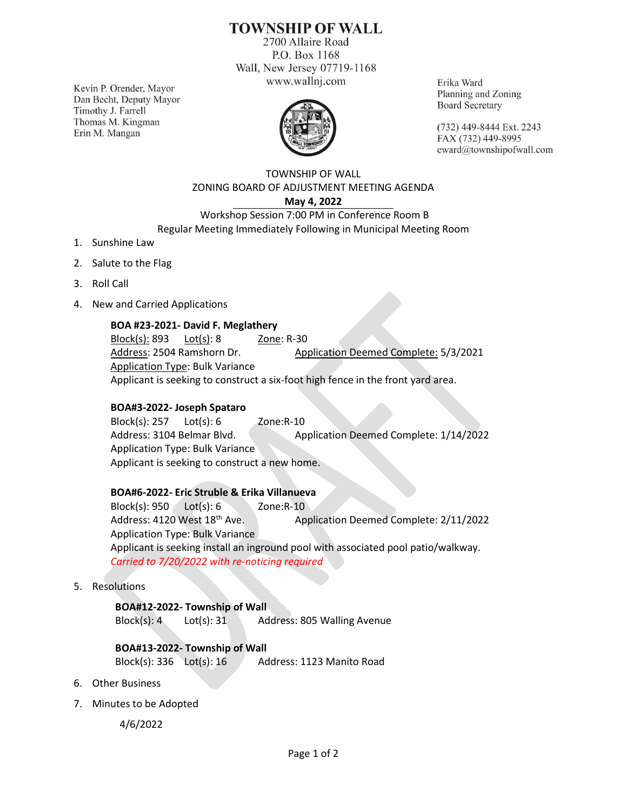# **TOWNSHIP OF WALL**

2700 Allaire Road P.O. Box 1168 Wall, New Jersey 07719-1168 www.wallnj.com

Kevin P. Orender, Mayor Dan Becht, Deputy Mayor Timothy J. Farrell Thomas M. Kingman Erin M. Mangan



Erika Ward Planning and Zoning **Board Secretary** 

(732) 449-8444 Ext. 2243 FAX (732) 449-8995 eward@townshipofwall.com

## TOWNSHIP OF WALL ZONING BOARD OF ADJUSTMENT MEETING AGENDA **May 4, 2022**

## Workshop Session 7:00 PM in Conference Room B Regular Meeting Immediately Following in Municipal Meeting Room

- 1. Sunshine Law
- 2. Salute to the Flag
- 3. Roll Call
- 4. New and Carried Applications

## **BOA #23-2021- David F. Meglathery**

Block(s): 893 Lot(s): 8 Zone: R-30 Address: 2504 Ramshorn Dr. Application Deemed Complete: 5/3/2021 Application Type: Bulk Variance Applicant is seeking to construct a six-foot high fence in the front yard area.

#### **BOA#3-2022- Joseph Spataro**

Block(s): 257 Lot(s): 6 Zone:R-10 Address: 3104 Belmar Blvd. Application Deemed Complete: 1/14/2022 Application Type: Bulk Variance Applicant is seeking to construct a new home.

## **BOA#6-2022- Eric Struble & Erika Villanueva**

Block(s): 950 Lot(s): 6 Zone:R-10 Address: 4120 West 18<sup>th</sup> Ave. Application Deemed Complete: 2/11/2022 Application Type: Bulk Variance Applicant is seeking install an inground pool with associated pool patio/walkway. *Carried to 7/20/2022 with re-noticing required*

5. Resolutions

**BOA#12-2022- Township of Wall** Block(s): 4 Lot(s): 31 Address: 805 Walling Avenue

## **BOA#13-2022- Township of Wall**

Block(s):  $336$  Lot(s):  $16$  Address: 1123 Manito Road

- 6. Other Business
- 7. Minutes to be Adopted

4/6/2022